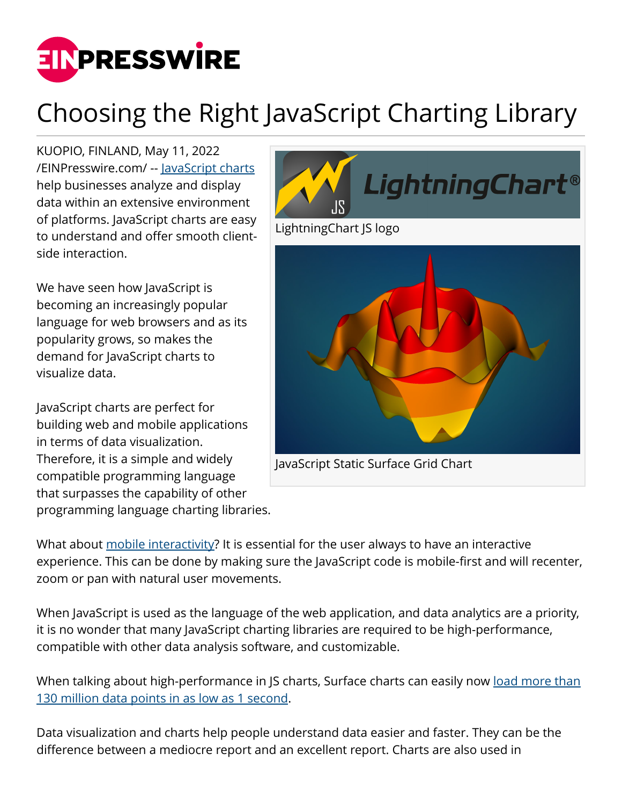

## Choosing the Right JavaScript Charting Library

KUOPIO, FINLAND, May 11, 2022 [/EINPresswire.com/](http://www.einpresswire.com) -- [JavaScript charts](https://www.arction.com/lightningchart-js/) help businesses analyze and display data within an extensive environment of platforms. JavaScript charts are easy to understand and offer smooth clientside interaction.

We have seen how JavaScript is becoming an increasingly popular language for web browsers and as its popularity grows, so makes the demand for JavaScript charts to visualize data.

JavaScript charts are perfect for building web and mobile applications in terms of data visualization. Therefore, it is a simple and widely compatible programming language that surpasses the capability of other programming language charting libraries.



What about [mobile interactivity](https://www.arction.com/lightningchart-js/#:~:text=Interactive%20Charts,data%20cursors%20etc.)? It is essential for the user always to have an interactive experience. This can be done by making sure the JavaScript code is mobile-first and will recenter, zoom or pan with natural user movements.

When JavaScript is used as the language of the web application, and data analytics are a priority, it is no wonder that many JavaScript charting libraries are required to be high-performance, compatible with other data analysis software, and customizable.

When talking about high-performance in JS charts, Surface charts can easily now [load more than](https://www.arction.com/surface-charts-performance-comparison/#:~:text=RTX%203080-,Static%20Surface%20Grid%20Charts,milliseconds)%2C%20that%20is%2C%20processing%20130%20million%20data%20points%20in%201%20second.,-Refreshing%20Surface%20Grid) [130 million data points in as low as 1 second.](https://www.arction.com/surface-charts-performance-comparison/#:~:text=RTX%203080-,Static%20Surface%20Grid%20Charts,milliseconds)%2C%20that%20is%2C%20processing%20130%20million%20data%20points%20in%201%20second.,-Refreshing%20Surface%20Grid)

Data visualization and charts help people understand data easier and faster. They can be the difference between a mediocre report and an excellent report. Charts are also used in